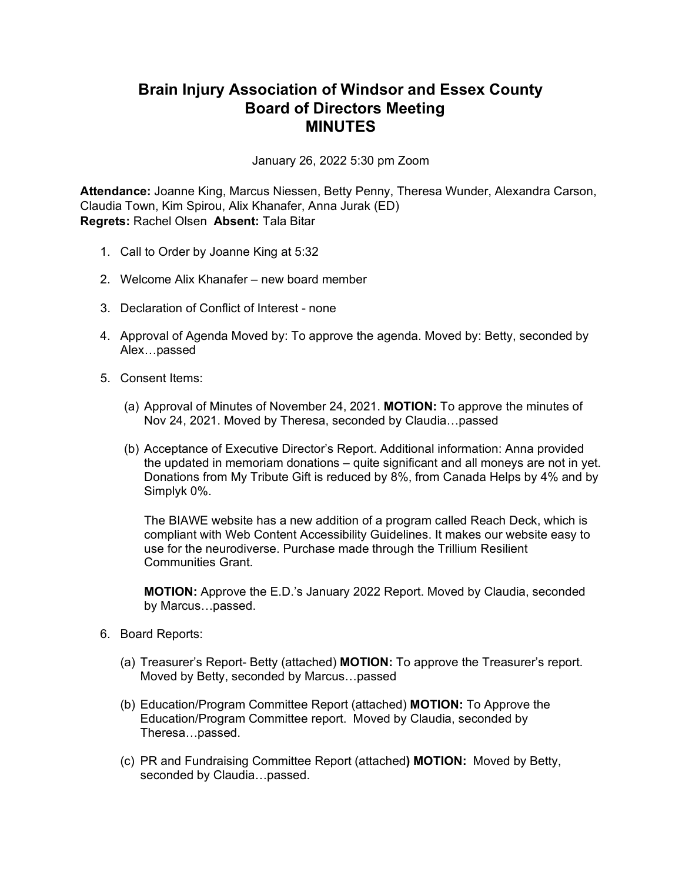## **Brain Injury Association of Windsor and Essex County Board of Directors Meeting MINUTES**

January 26, 2022 5:30 pm Zoom

**Attendance:** Joanne King, Marcus Niessen, Betty Penny, Theresa Wunder, Alexandra Carson, Claudia Town, Kim Spirou, Alix Khanafer, Anna Jurak (ED) **Regrets:** Rachel Olsen **Absent:** Tala Bitar

- 1. Call to Order by Joanne King at 5:32
- 2. Welcome Alix Khanafer new board member
- 3. Declaration of Conflict of Interest none
- 4. Approval of Agenda Moved by: To approve the agenda. Moved by: Betty, seconded by Alex…passed
- 5. Consent Items:
	- (a) Approval of Minutes of November 24, 2021. **MOTION:** To approve the minutes of Nov 24, 2021. Moved by Theresa, seconded by Claudia…passed
	- (b) Acceptance of Executive Director's Report. Additional information: Anna provided the updated in memoriam donations – quite significant and all moneys are not in yet. Donations from My Tribute Gift is reduced by 8%, from Canada Helps by 4% and by Simplyk 0%.

The BIAWE website has a new addition of a program called Reach Deck, which is compliant with Web Content Accessibility Guidelines. It makes our website easy to use for the neurodiverse. Purchase made through the Trillium Resilient Communities Grant.

**MOTION:** Approve the E.D.'s January 2022 Report. Moved by Claudia, seconded by Marcus…passed.

- 6. Board Reports:
	- (a) Treasurer's Report- Betty (attached) **MOTION:** To approve the Treasurer's report. Moved by Betty, seconded by Marcus…passed
	- (b) Education/Program Committee Report (attached) **MOTION:** To Approve the Education/Program Committee report. Moved by Claudia, seconded by Theresa…passed.
	- (c) PR and Fundraising Committee Report (attached**) MOTION:** Moved by Betty, seconded by Claudia…passed.